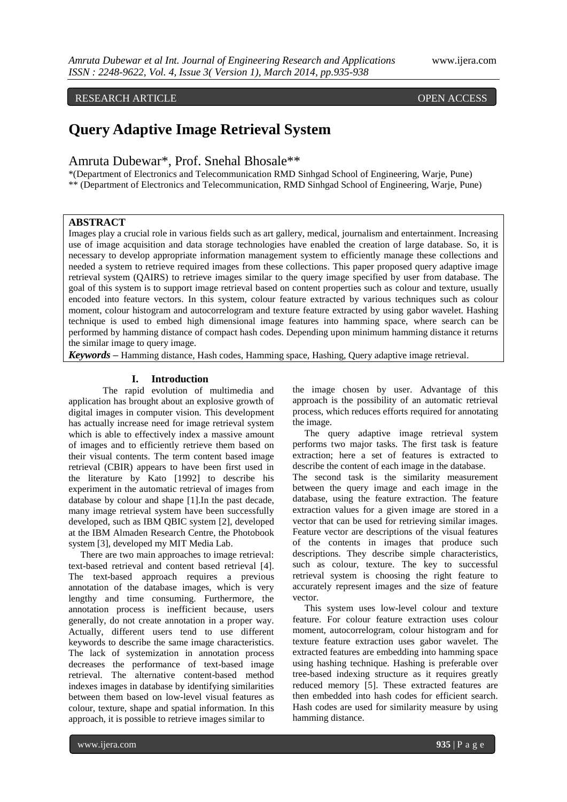### RESEARCH ARTICLE OPEN ACCESS

# **Query Adaptive Image Retrieval System**

## Amruta Dubewar\*, Prof. Snehal Bhosale\*\*

\*(Department of Electronics and Telecommunication RMD Sinhgad School of Engineering, Warje, Pune) \*\* (Department of Electronics and Telecommunication, RMD Sinhgad School of Engineering, Warje, Pune)

#### **ABSTRACT**

Images play a crucial role in various fields such as art gallery, medical, journalism and entertainment. Increasing use of image acquisition and data storage technologies have enabled the creation of large database. So, it is necessary to develop appropriate information management system to efficiently manage these collections and needed a system to retrieve required images from these collections. This paper proposed query adaptive image retrieval system (QAIRS) to retrieve images similar to the query image specified by user from database. The goal of this system is to support image retrieval based on content properties such as colour and texture, usually encoded into feature vectors. In this system, colour feature extracted by various techniques such as colour moment, colour histogram and autocorrelogram and texture feature extracted by using gabor wavelet. Hashing technique is used to embed high dimensional image features into hamming space, where search can be performed by hamming distance of compact hash codes. Depending upon minimum hamming distance it returns the similar image to query image.

*Keywords* **–** Hamming distance, Hash codes, Hamming space, Hashing, Query adaptive image retrieval.

#### **I. Introduction**

The rapid evolution of multimedia and application has brought about an explosive growth of digital images in computer vision. This development has actually increase need for image retrieval system which is able to effectively index a massive amount of images and to efficiently retrieve them based on their visual contents. The term content based image retrieval (CBIR) appears to have been first used in the literature by Kato [1992] to describe his experiment in the automatic retrieval of images from database by colour and shape [1].In the past decade, many image retrieval system have been successfully developed, such as IBM QBIC system [2], developed at the IBM Almaden Research Centre, the Photobook system [3], developed my MIT Media Lab.

 There are two main approaches to image retrieval: text-based retrieval and content based retrieval [4]. The text-based approach requires a previous annotation of the database images, which is very lengthy and time consuming. Furthermore, the annotation process is inefficient because, users generally, do not create annotation in a proper way. Actually, different users tend to use different keywords to describe the same image characteristics. The lack of systemization in annotation process decreases the performance of text-based image retrieval. The alternative content-based method indexes images in database by identifying similarities between them based on low-level visual features as colour, texture, shape and spatial information. In this approach, it is possible to retrieve images similar to

the image chosen by user. Advantage of this approach is the possibility of an automatic retrieval process, which reduces efforts required for annotating the image.

 The query adaptive image retrieval system performs two major tasks. The first task is feature extraction; here a set of features is extracted to describe the content of each image in the database. The second task is the similarity measurement between the query image and each image in the database, using the feature extraction. The feature extraction values for a given image are stored in a vector that can be used for retrieving similar images. Feature vector are descriptions of the visual features of the contents in images that produce such descriptions. They describe simple characteristics, such as colour, texture. The key to successful retrieval system is choosing the right feature to accurately represent images and the size of feature vector.

 This system uses low-level colour and texture feature. For colour feature extraction uses colour moment, autocorrelogram, colour histogram and for texture feature extraction uses gabor wavelet. The extracted features are embedding into hamming space using hashing technique. Hashing is preferable over tree-based indexing structure as it requires greatly reduced memory [5]. These extracted features are then embedded into hash codes for efficient search. Hash codes are used for similarity measure by using hamming distance.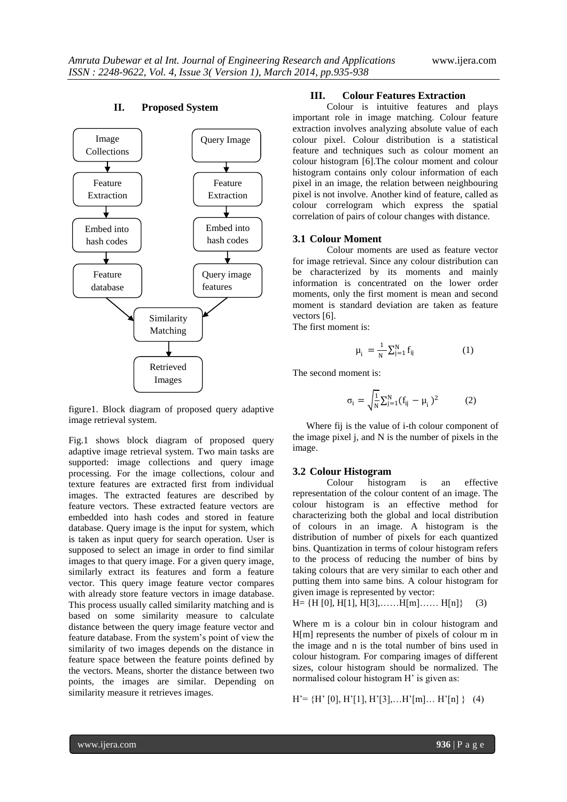

#### **II. Proposed System**

figure1. Block diagram of proposed query adaptive image retrieval system.

Fig.1 shows block diagram of proposed query adaptive image retrieval system. Two main tasks are supported: image collections and query image processing. For the image collections, colour and texture features are extracted first from individual images. The extracted features are described by feature vectors. These extracted feature vectors are embedded into hash codes and stored in feature database. Query image is the input for system, which is taken as input query for search operation. User is supposed to select an image in order to find similar images to that query image. For a given query image, similarly extract its features and form a feature vector. This query image feature vector compares with already store feature vectors in image database. This process usually called similarity matching and is based on some similarity measure to calculate distance between the query image feature vector and feature database. From the system's point of view the similarity of two images depends on the distance in feature space between the feature points defined by the vectors. Means, shorter the distance between two points, the images are similar. Depending on similarity measure it retrieves images.

#### **III. Colour Features Extraction**

Colour is intuitive features and plays important role in image matching. Colour feature extraction involves analyzing absolute value of each colour pixel. Colour distribution is a statistical feature and techniques such as colour moment an colour histogram [6].The colour moment and colour histogram contains only colour information of each pixel in an image, the relation between neighbouring pixel is not involve. Another kind of feature, called as colour correlogram which express the spatial correlation of pairs of colour changes with distance.

#### **3.1 Colour Moment**

Colour moments are used as feature vector for image retrieval. Since any colour distribution can be characterized by its moments and mainly information is concentrated on the lower order moments, only the first moment is mean and second moment is standard deviation are taken as feature vectors [6].

The first moment is:

$$
\mu_{i} = \frac{1}{N} \sum_{j=1}^{N} f_{ij}
$$
 (1)

The second moment is:

$$
\sigma_i = \sqrt{\frac{1}{N}} \sum_{j=1}^{N} (f_{ij} - \mu_i)^2
$$
 (2)

Where fij is the value of i-th colour component of the image pixel j, and N is the number of pixels in the image.

#### **3.2 Colour Histogram**

Colour histogram is an effective representation of the colour content of an image. The colour histogram is an effective method for characterizing both the global and local distribution of colours in an image. A histogram is the distribution of number of pixels for each quantized bins. Quantization in terms of colour histogram refers to the process of reducing the number of bins by taking colours that are very similar to each other and putting them into same bins. A colour histogram for given image is represented by vector:

$$
H = \{H[0], H[1], H[3], \dots, H[m], \dots, H[n]\} \tag{3}
$$

Where m is a colour bin in colour histogram and H[m] represents the number of pixels of colour m in the image and n is the total number of bins used in colour histogram. For comparing images of different sizes, colour histogram should be normalized. The normalised colour histogram H' is given as:

$$
H' = \{H'[0], H'[1], H'[3], \dots H'[m] \dots H'[n]\} \quad (4)
$$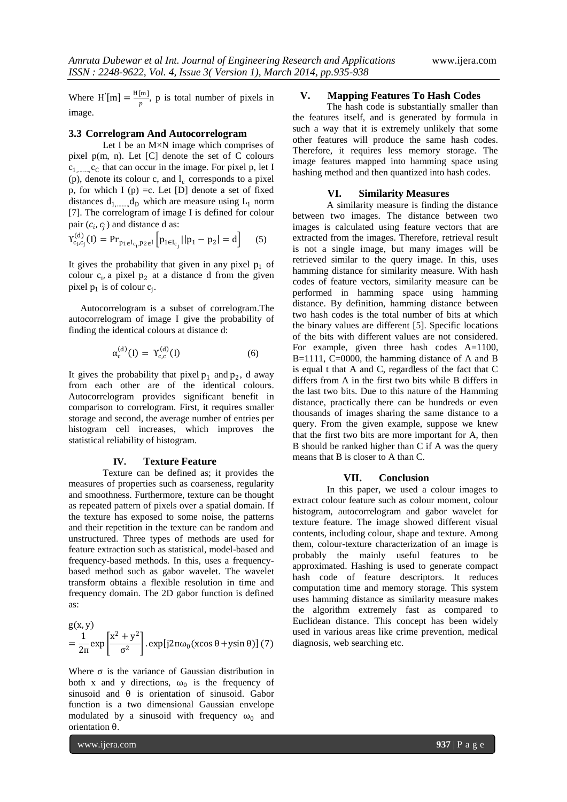Where  $H'[m] = \frac{H[m]}{n}$  $\frac{m_1}{p}$ , p is total number of pixels in image.

#### **3.3 Correlogram And Autocorrelogram**

Let I be an M×N image which comprises of pixel p(m, n). Let [C] denote the set of C colours  $c_{1, \dots, c_{C}}$  that can occur in the image. For pixel p, let I (p), denote its colour c, and  $I_c$  corresponds to a pixel p, for which I (p) = c. Let [D] denote a set of fixed distances  $d_{1, \dots, d_D}$  which are measure using  $L_1$  norm [7]. The correlogram of image I is defined for colour pair  $(c_i, c_j)$  and distance d as:

$$
Y_{c_i,c_j}^{(d)}(I) = Pr_{p_1 \in I_{c_i}, p_2 \in I} \left[ p_{1 \in I_{c_j}} || p_1 - p_2 | = d \right] \quad (5)
$$

It gives the probability that given in any pixel  $p_1$  of colour  $c_i$ , a pixel  $p_2$  at a distance d from the given pixel  $p_1$  is of colour  $c_j$ .

 Autocorrelogram is a subset of correlogram.The autocorrelogram of image I give the probability of finding the identical colours at distance d:

$$
\alpha_{\rm c}^{\rm (d)}(\mathrm{I}) = \Upsilon_{\rm c,c}^{\rm (d)}(\mathrm{I}) \tag{6}
$$

It gives the probability that pixel  $p_1$  and  $p_2$ , d away from each other are of the identical colours. Autocorrelogram provides significant benefit in comparison to correlogram. First, it requires smaller storage and second, the average number of entries per histogram cell increases, which improves the statistical reliability of histogram.

#### **IV. Texture Feature**

Texture can be defined as; it provides the measures of properties such as coarseness, regularity and smoothness. Furthermore, texture can be thought as repeated pattern of pixels over a spatial domain. If the texture has exposed to some noise, the patterns and their repetition in the texture can be random and unstructured. Three types of methods are used for feature extraction such as statistical, model-based and frequency-based methods. In this, uses a frequencybased method such as gabor wavelet. The wavelet transform obtains a flexible resolution in time and frequency domain. The 2D gabor function is defined as:

$$
g(x, y)
$$
  
=  $\frac{1}{2\pi} \exp \left[\frac{x^2 + y^2}{\sigma^2}\right]$ . exp[ $j2\pi\omega_0$ (xcos θ +ysin θ)] (7)

Where  $\sigma$  is the variance of Gaussian distribution in both x and y directions,  $\omega_0$  is the frequency of sinusoid and θ is orientation of sinusoid. Gabor function is a two dimensional Gaussian envelope modulated by a sinusoid with frequency  $\omega_0$  and orientation θ.

#### **V. Mapping Features To Hash Codes**

The hash code is substantially smaller than the features itself, and is generated by formula in such a way that it is extremely unlikely that some other features will produce the same hash codes. Therefore, it requires less memory storage. The image features mapped into hamming space using hashing method and then quantized into hash codes.

#### **VI. Similarity Measures**

A similarity measure is finding the distance between two images. The distance between two images is calculated using feature vectors that are extracted from the images. Therefore, retrieval result is not a single image, but many images will be retrieved similar to the query image. In this, uses hamming distance for similarity measure. With hash codes of feature vectors, similarity measure can be performed in hamming space using hamming distance. By definition, hamming distance between two hash codes is the total number of bits at which the binary values are different [5]. Specific locations of the bits with different values are not considered. For example, given three hash codes A=1100, B=1111, C=0000, the hamming distance of A and B is equal t that A and C, regardless of the fact that C differs from A in the first two bits while B differs in the last two bits. Due to this nature of the Hamming distance, practically there can be hundreds or even thousands of images sharing the same distance to a query. From the given example, suppose we knew that the first two bits are more important for A, then B should be ranked higher than C if A was the query means that B is closer to A than C.

#### **VII. Conclusion**

In this paper, we used a colour images to extract colour feature such as colour moment, colour histogram, autocorrelogram and gabor wavelet for texture feature. The image showed different visual contents, including colour, shape and texture. Among them, colour-texture characterization of an image is probably the mainly useful features to be approximated. Hashing is used to generate compact hash code of feature descriptors. It reduces computation time and memory storage. This system uses hamming distance as similarity measure makes the algorithm extremely fast as compared to Euclidean distance. This concept has been widely used in various areas like crime prevention, medical diagnosis, web searching etc.

www.ijera.com **937** | P a g e